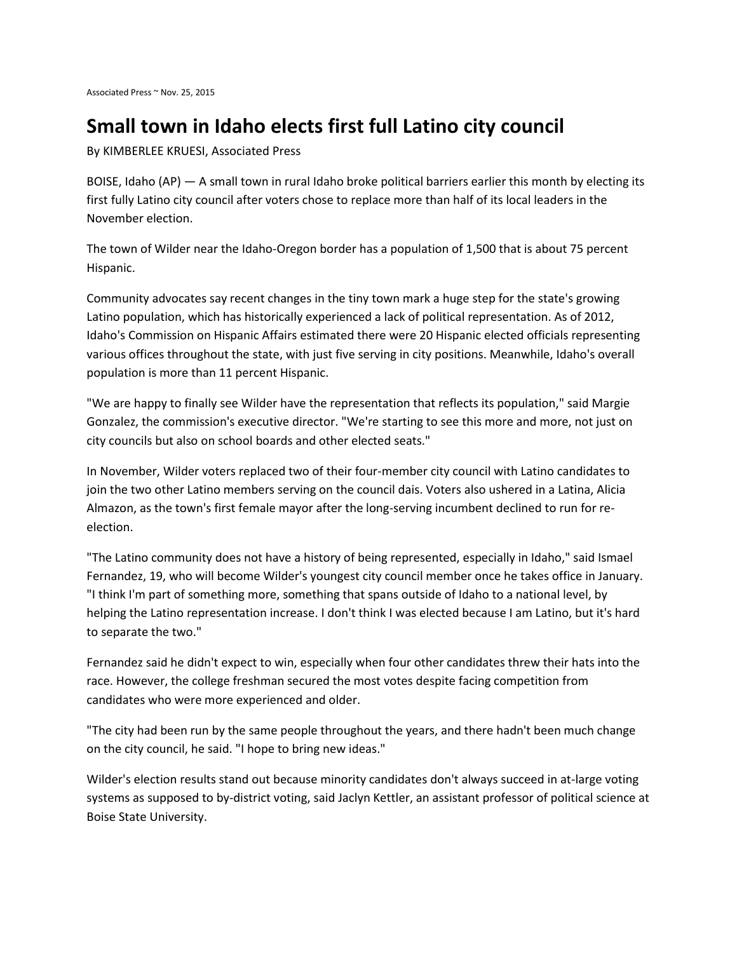## **Small town in Idaho elects first full Latino city council**

By KIMBERLEE KRUESI, Associated Press

BOISE, Idaho (AP) — A small town in rural Idaho broke political barriers earlier this month by electing its first fully Latino city council after voters chose to replace more than half of its local leaders in the November election.

The town of Wilder near the Idaho-Oregon border has a population of 1,500 that is about 75 percent Hispanic.

Community advocates say recent changes in the tiny town mark a huge step for the state's growing Latino population, which has historically experienced a lack of political representation. As of 2012, Idaho's Commission on Hispanic Affairs estimated there were 20 Hispanic elected officials representing various offices throughout the state, with just five serving in city positions. Meanwhile, Idaho's overall population is more than 11 percent Hispanic.

"We are happy to finally see Wilder have the representation that reflects its population," said Margie Gonzalez, the commission's executive director. "We're starting to see this more and more, not just on city councils but also on school boards and other elected seats."

In November, Wilder voters replaced two of their four-member city council with Latino candidates to join the two other Latino members serving on the council dais. Voters also ushered in a Latina, Alicia Almazon, as the town's first female mayor after the long-serving incumbent declined to run for reelection.

"The Latino community does not have a history of being represented, especially in Idaho," said Ismael Fernandez, 19, who will become Wilder's youngest city council member once he takes office in January. "I think I'm part of something more, something that spans outside of Idaho to a national level, by helping the Latino representation increase. I don't think I was elected because I am Latino, but it's hard to separate the two."

Fernandez said he didn't expect to win, especially when four other candidates threw their hats into the race. However, the college freshman secured the most votes despite facing competition from candidates who were more experienced and older.

"The city had been run by the same people throughout the years, and there hadn't been much change on the city council, he said. "I hope to bring new ideas."

Wilder's election results stand out because minority candidates don't always succeed in at-large voting systems as supposed to by-district voting, said Jaclyn Kettler, an assistant professor of political science at Boise State University.